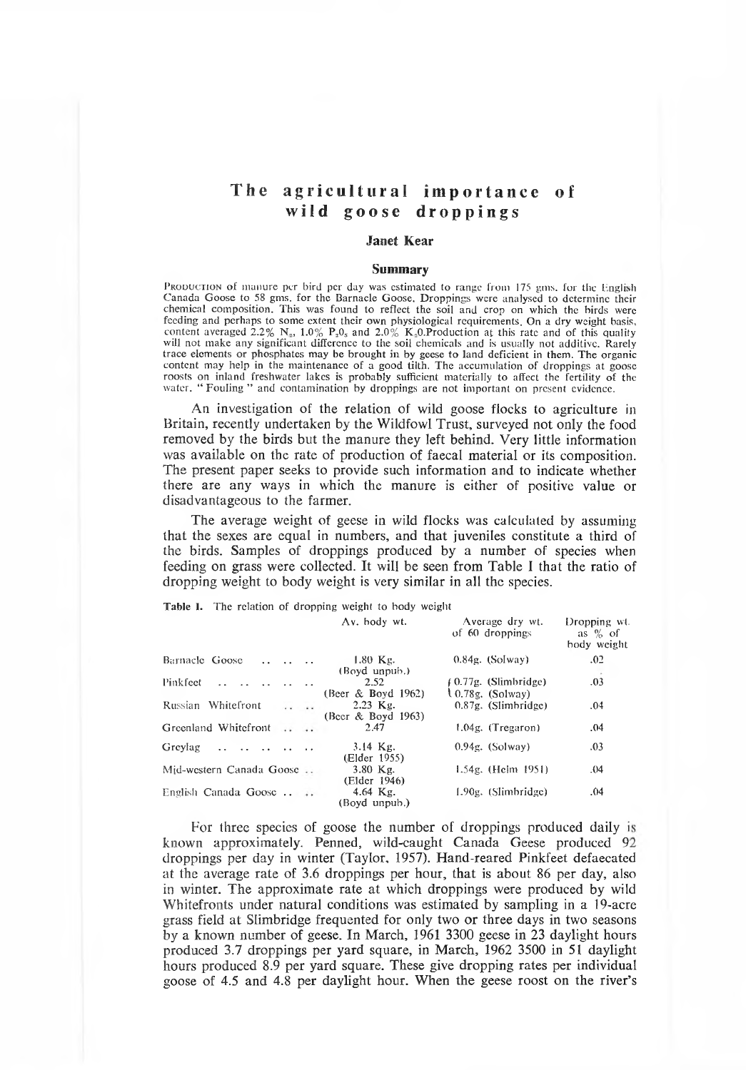# **The agricultural importance of wild goose droppings**

### **Janet Kear**

### **Summary**

PRODUCTION of manure per bird per day was estimated to range from 175 gms. for the English Canada Goose to 58 gms. for the Barnacle Goose. Droppings were analysed to determine their chem ical com position. This was found to reflect the soil and crop on which the birds were feeding and perhaps to some extent their own physiological requirements. On a dry weight basis, content averaged 2.2%  $N_a$ , 1.0%  $P_aO_s$  and 2.0%  $K_aO$ . Production at this rate and of this quality will not make any significant difference to the soil chemicals and is usually not additive. Rarely trace elements or phosphates may be brought in by geese to land deficient in them. The organic content may help in the maintenance of a good tilth. The accumulation of droppings at goose roosts on inland freshwater lakes is probably sufficient materially to affect the fertility of the water. " Fouling " and contamination by droppings are not important on present evidence.

An investigation of the relation of wild goose flocks to agriculture in Britain, recently undertaken by the Wildfowl Trust, surveyed not only the food removed by the birds but the manure they left behind. Very little information was available on the rate of production of faecal material or its composition. The present paper seeks to provide such information and to indicate whether there are any ways in which the manure is either of positive value or disadvantageous to the farmer.

The average weight of geese in wild flocks was calculated by assuming that the sexes are equal in numbers, and that juveniles constitute a third of the birds. Samples of droppings produced by a number of species when feeding on grass were collected. It will be seen from Table I that the ratio of dropping weight to body weight is very similar in all the species.

Table I. The relation of dropping weight to body weight

|  | Av. body wt. |  |  |
|--|--------------|--|--|
|--|--------------|--|--|

Average dry wt.

Dropping wt. as % of

|                                                                    | of 60 droppings                            | as $\%$ of<br>body weight |
|--------------------------------------------------------------------|--------------------------------------------|---------------------------|
| $1.80$ Kg.<br>Barnacle Goose<br>(Boyd unpub.)                      | $0.84g$ . (Solway)                         | .02                       |
| Pinkfeet<br>2.52<br>(Beer $&$ Boyd 1962)                           | $(0.77g.$ (Slimbridge)<br>10.78g. (Solway) | .03                       |
| Russian Whitefront<br>$2.23$ Kg.<br>$\cdots$<br>(Beer & Boyd 1963) | $0.87g.$ (Slimbridge)                      | .04                       |
| Greenland Whitefront<br>2.47<br>$\cdots$                           | $1.04g$ . (Tregaron)                       | .04                       |
| $3.14$ Kg.<br>Greylag<br>(Elder 1955)                              | $0.94g.$ (Solway)                          | .03                       |
| Mid-western Canada Goose<br>$3.80$ Kg.<br>(Elder 1946)             | 1.54g. (Helm 1951)                         | .04                       |
| 4.64 $Kg$ .<br>English Canada Goose<br>(Boyd unpub.)               | 1.90g. (Slimbridge)                        | .04                       |

For three species of goose the number of droppings produced daily is known approximately. Penned, wild-caught Canada Geese produced 92 droppings per day in winter (Taylor, 1957). Hand-reared Pinkfeet defaecated at the average rate of 3.6 droppings per hour, that is about 86 per day, also in winter. The approximate rate at which droppings were produced by wild Whitefronts under natural conditions was estimated by sampling in a 19-acre grass field at Slimbridge frequented for only two or three days in two seasons by a known number of geese. In March, 1961 3300 geese in 23 daylight hours produced 3.7 droppings per yard square, in March, 1962 3500 in 51 daylight hours produced 8.9 per yard square. These give dropping rates per individual goose of 4.5 and 4.8 per daylight hour. W hen the geese roost on the river's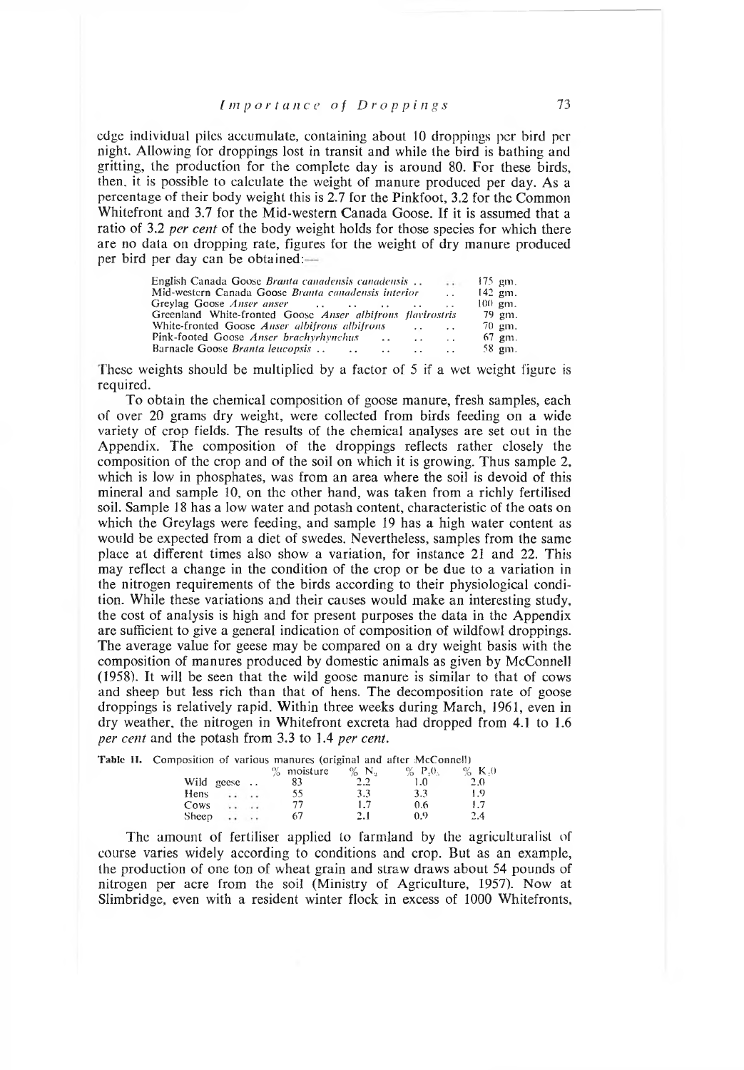### *Importance of Droppings* 73

edge individual piles accumulate, containing about 10 droppings per bird per night. Allowing for droppings lost in transit and while the bird is bathing and gritting, the production for the complete day is around 80. For these birds, then, it is possible to calculate the weight of manure produced per day. As a percentage of their body weight this is 2.7 for the Pinkfoot, 3.2 for the Common Whitefront and 3.7 for the Mid-western Canada Goose. If it is assumed that a ratio of 3.2 *per cent* of the body weight holds for those species for which there are no data on dropping rate, figures for the weight of dry manure produced per bird per day can be obtained:

| English Canada Goose <i>Branta canadensis canadensis</i><br>$1.1 - 1.1$           | $175$ gm.            |  |  |  |  |  |  |
|-----------------------------------------------------------------------------------|----------------------|--|--|--|--|--|--|
| Mid-western Canada Goose Branta canadensis interior<br>$\mathbf{A}$               |                      |  |  |  |  |  |  |
| $\sim$                                                                            | $100 \, \text{gm}$ . |  |  |  |  |  |  |
| Greenland White-fronted Goose Anser albifrons flavirostris                        | 79 gm.               |  |  |  |  |  |  |
| White-fronted Goose <i>Anser albifrons albifrons</i><br>$\sim$ $\sim$<br>$\cdots$ | 70 gm.               |  |  |  |  |  |  |
|                                                                                   | 67 gm.               |  |  |  |  |  |  |
| $\cdot$ $\cdot$                                                                   | 58 gm.               |  |  |  |  |  |  |

These weights should be multiplied by a factor of 5 if a wet weight figure is required.

To obtain the chemical composition of goose manure, fresh samples, each of over 20 grams dry weight, were collected from birds feeding on a wide variety of crop fields. The results of the chemical analyses are set out in the Appendix. The composition of the droppings reflects rather closely the composition of the crop and of the soil on which it is growing. Thus sample 2, which is low in phosphates, was from an area where the soil is devoid of this mineral and sample 10, on the other hand, was taken from a richly fertilised soil. Sample 18 has a low water and potash content, characteristic of the oats on which the Greylags were feeding, and sample 19 has a high water content as would be expected from a diet of swedes. Nevertheless, samples from the same place at different times also show a variation, for instance 21 and 22. This may reflect a change in the condition of the crop or be due to a variation in the nitrogen requirements of the birds according to their physiological condition. While these variations and their causes would make an interesting study, the cost of analysis is high and for present purposes the data in the Appendix are sufficient to give a general indication of composition of wildfowl droppings. The average value for geese may be compared on a dry weight basis with the composition of manures produced by domestic animals as given by McConnell (1958). It will be seen that the wild goose manure is similar to that of cows and sheep but less rich than that of hens. The decomposition rate of goose droppings is relatively rapid. Within three weeks during March, 1961, even in dry weather, the nitrogen in Whitefront excreta had dropped from 4.1 to 1.6 *per cent* and the potash from 3.3 to 1.4 *per cent.*

|            |  | <b>Table II.</b> Composition of various manures (original and after McConnell) |         |                        |      |
|------------|--|--------------------------------------------------------------------------------|---------|------------------------|------|
|            |  | $%$ moisture                                                                   | $\%$ N. | $\%$ P <sub>2</sub> 0. | $\%$ |
| Wild geese |  | 83                                                                             | 2.2     |                        | 2.0  |
| Hens       |  | 55                                                                             | 3.3     | 3.3                    | 1.9  |
| Cows       |  | 77                                                                             | 1.7     | 0.6                    |      |
| Sheep      |  | 67                                                                             | 2.1     | 0.9                    | 2.4  |

The amount of fertiliser applied to farmland by the agriculturalist of course varies widely according to conditions and crop. But as an example, the production of one ton of wheat grain and straw draws about 54 pounds of nitrogen per acre from the soil (Ministry of Agriculture, 1957). Now at Slimbridge, even with a resident winter flock in excess of 1000 Whitefronts,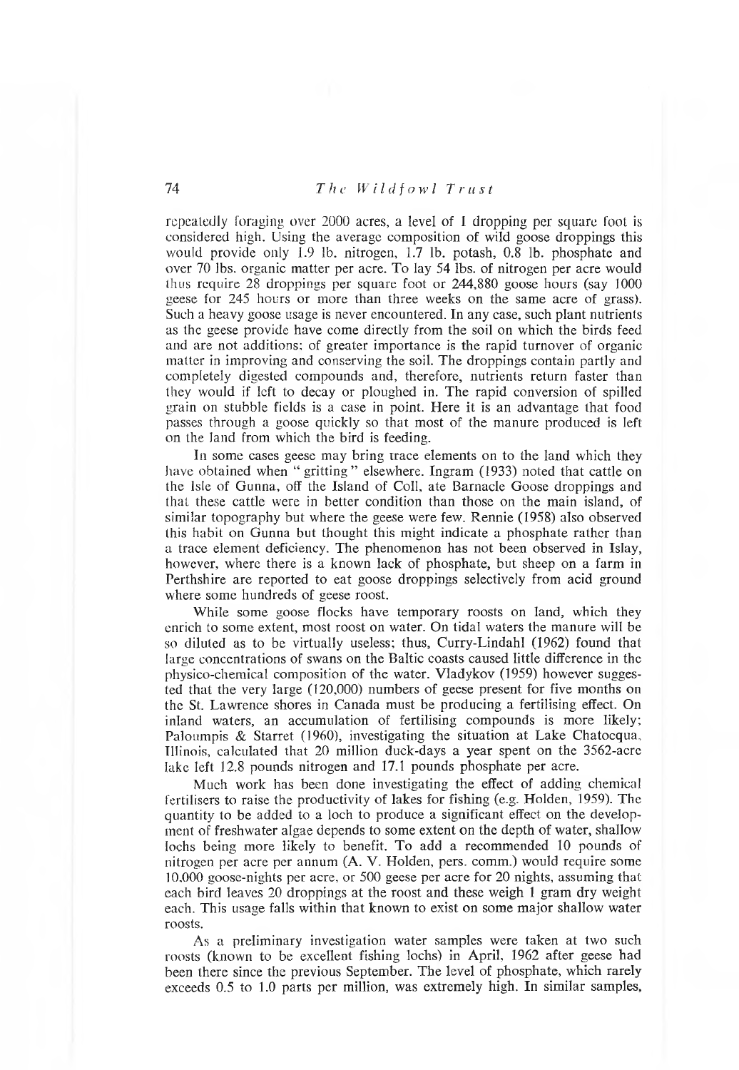repeatedly foraging over 2000 acres, a level of 1 dropping per square foot is considered high. Using the average composition of wild goose droppings this would provide only 1.9 1b. nitrogen, 1.7 1b. potash, 0.8 1b. phosphate and over 70 lbs. organic m atter per acre. To lay 54 lbs. of nitrogen per acre would thus require 28 droppings per square foot or 244,880 goose hours (say 1000 geese for 245 hours or more than three weeks on the same acre of grass). Such a heavy goose usage is never encountered. In any case, such plant nutrients as the geese provide have come directly from the soil on which the birds feed and are not additions; of greater im portance is the rapid turnover of organic matter in improving and conserving the soil. The droppings contain partly and completely digested compounds and, therefore, nutrients return faster than they would if left to decay or ploughed in. The rapid conversion of spilled grain on stubble fields is a case in point. Here it is an advantage that food passes through a goose quickly so that most of the manure produced is left on the land from which the bird is feeding.

In some cases geese may bring trace elements on to the land which they have obtained when " gritting " elsewhere. Ingram (1933) noted that cattle on the Isle of Gunna, off the Island of Coll, ate Barnacle Goose droppings and that these cattle were in better condition than those on the main island, of similar topography but where the geese were few. Rennie (1958) also observed this habit on Gunna but thought this might indicate a phosphate rather than a trace element deficiency. The phenomenon has not been observed in Islay, however, where there is a known lack of phosphate, but sheep on a farm in Perthshire are reported to eat goose droppings selectively from acid ground where some hundreds of geese roost.

While some goose flocks have temporary roosts on land, which they enrich to some extent, most roost on water. On tidal waters the manure will be so diluted as to be virtually useless; thus, Curry-Lindahl (1962) found that large concentrations of swans on the Baltic coasts caused little difference in the physico-chemical composition of the water. Vladykov (1959) however suggested that the very large (120,000) numbers of geese present for five months on the St. Lawrence shores in Canada must be producing a fertilising effect. On inland waters, an accumulation of fertilising compounds is more likely; Paloum pis & Starret (1960), investigating the situation at Lake Chatocqua, Illinois, calculated that 20 million duck-days a year spent on the 3562-acre lake left 12.8 pounds nitrogen and 17.1 pounds phosphate per acre.

Much work has been done investigating the effect of adding chemical fertilisers to raise the productivity of lakes for fishing (e.g. Holden, 1959). The quantity to be added to a loch to produce a significant effect on the development of freshwater algae depends to some extent on the depth of water, shallow lochs being more likely to benefit. To add a recommended 10 pounds of nitrogen per acre per annum (A. V. Holden, pers, comm.) would require some 10,000 goose-nights per acre, or 500 geese per acre for 20 nights, assuming that each bird leaves 20 droppings at the roost and these weigh 1 gram dry weight each. This usage falls within that known to exist on some major shallow water roosts.

As a preliminary investigation water samples were taken at two such roosts (known to be excellent fishing lochs) in April, 1962 after geese had been there since the previous September. The level of phosphate, which rarely exceeds 0.5 to 1.0 parts per million, was extremely high. In similar samples,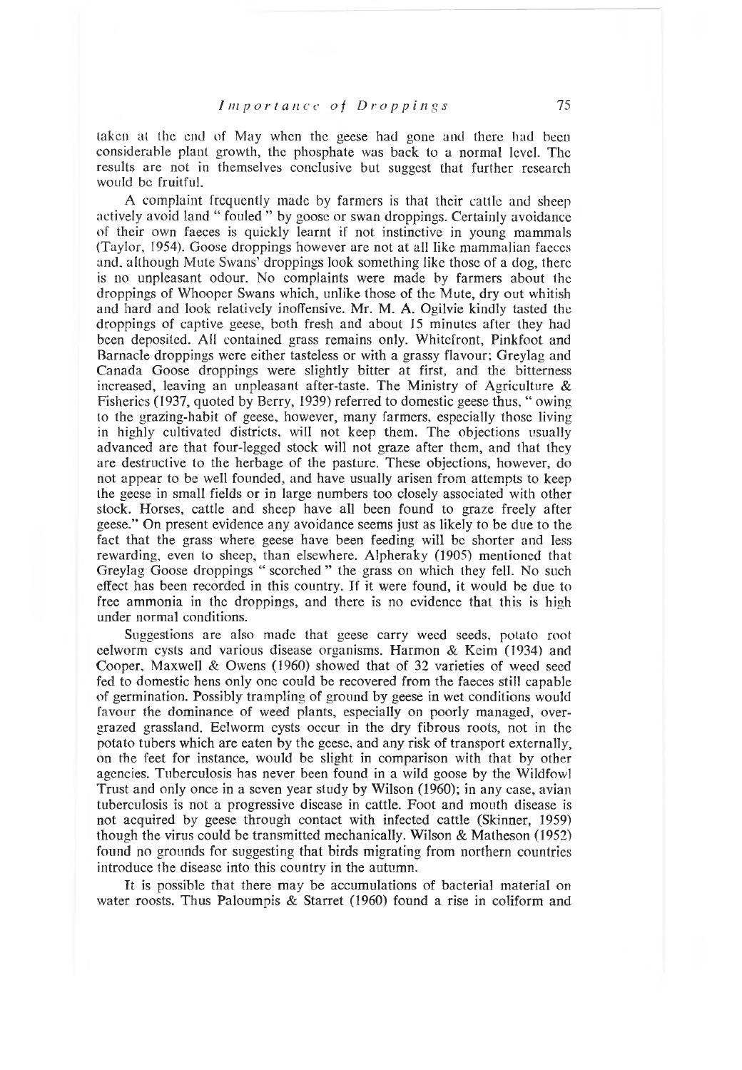taken at the end of May when the geese had gone and there had been considerable plant growth, the phosphate was back to a normal level. The results are not in themselves conclusive but suggest that further research would be fruitful.

A complaint frequently made by farmers is that their cattle and sheep actively avoid land " fouled " by goose or swan droppings. Certainly avoidance of their own faeces is quickly learnt if not instinctive in young mammals (Taylor, 1954). Goose droppings however are not at all like mammalian faeces and, although Mute Swans' droppings look something like those of a dog, there is no unpleasant odour. No complaints were made by farmers about the droppings of Whooper Swans which, unlike those of the Mute, dry out whitish and hard and look relatively inoffensive. Mr. M. A. Ogilvie kindly tasted the droppings of captive geese, both fresh and about 15 minutes after they had been deposited. All contained grass remains only. W hitefront, Pinkfoot and Barnacle droppings were either tasteless or with a grassy flavour; Greylag and Canada Goose droppings were slightly bitter at first, and the bitterness increased, leaving an unpleasant after-taste. The Ministry of Agriculture  $\&$ Fisheries (1937, quoted by Berry, 1939) referred to domestic geese thus, " owing to the grazing-habit of geese, however, many farmers, especially those living in highly cultivated districts, will not keep them. The objections usually advanced are that four-legged stock will not graze after them, and that they are destructive to the herbage of the pasture. These objections, however, do not appear to be well founded, and have usually arisen from attempts to keep the geese in small fields or in large numbers too closely associated with other stock. Horses, cattle and sheep have all been found to graze freely after geese." On present evidence any avoidance seems just as likely to be due to the fact that the grass where geese have been feeding will be shorter and less rewarding, even to sheep, than elsewhere. Alpheraky (1905) mentioned that Greylag Goose droppings " scorched " the grass on which they fell. No such effect has been recorded in this country. If it were found, it would be due to free ammonia in the droppings, and there is no evidence that this is high under normal conditions.

Suggestions are also made that geese carry weed seeds, potato root eelworm cysts and various disease organisms. Harmon  $&$  Keim (1934) and Cooper, Maxwell & Owens (1960) showed that of 32 varieties of weed seed fed to domestic hens only one could be recovered from the faeces still capable of germination. Possibly tram pling of ground by geese in wet conditions would favour the dominance of weed plants, especially on poorly managed, overgrazed grassland. Eelworm cysts occur in the dry fibrous roots, not in the potato tubers which are eaten by the geese, and any risk of transport externally, on the feet for instance, would be slight in comparison with that by other agencies. Tuberculosis has never been found in a wild goose by the Wildfowl Trust and only once in a seven year study by Wilson (1960); in any case, avian tuberculosis is not a progressive disease in cattle. Foot and mouth disease is not acquired by geese through contact with infected cattle (Skinner, 1959) though the virus could be transmitted mechanically. Wilson  $&$  Matheson (1952) found no grounds for suggesting that birds migrating from northern countries introduce the disease into this country in the autumn.

It is possible that there may be accumulations of bacterial material on water roosts. Thus Paloumpis & Starret (1960) found a rise in coliform and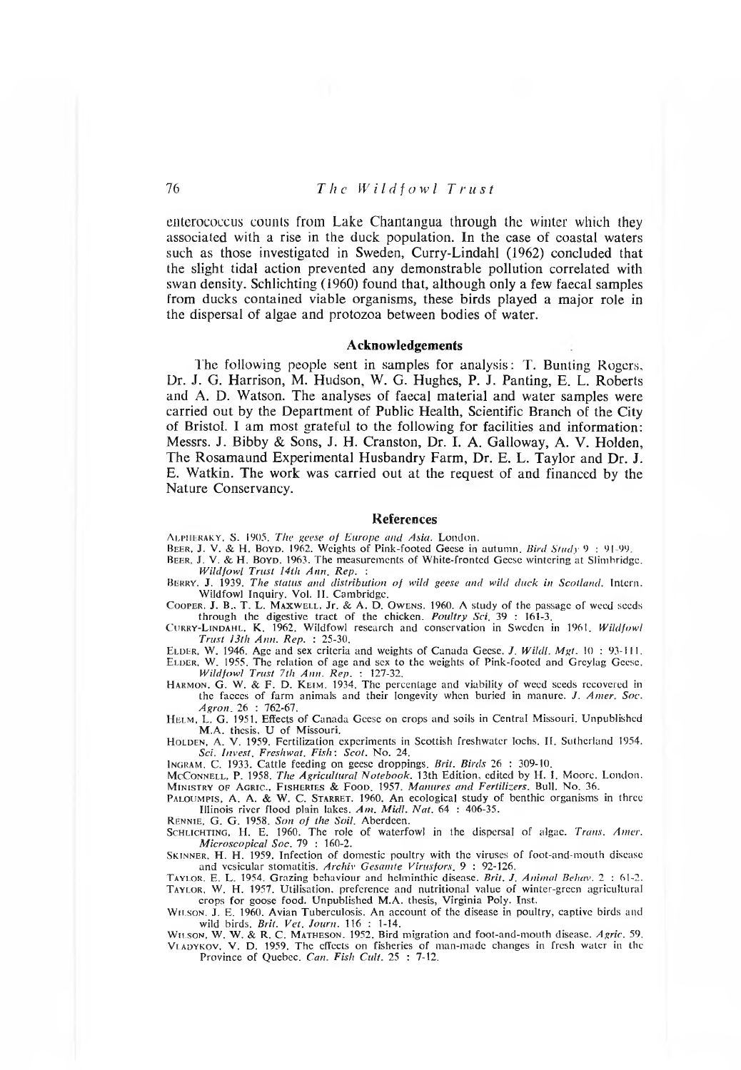enterococcus counts from Lake Chantangua through the winter which they associated with a rise in the duck population. In the case of coastal waters such as those investigated in Sweden, Curry-Lindahl (1962) concluded that the slight tidal action prevented any demonstrable pollution correlated with swan density. Schlichting (1960) found that, although only a few faecal samples from ducks contained viable organisms, these birds played a major role in the dispersal of algae and protozoa between bodies of water.

### **Acknowledgements**

The following people sent in samples for analysis: T. Bunting Rogers, Dr. J. G. Harrison, M. Hudson, W. G. Hughes, P. J. Panting, E. L. Roberts and A. D. Watson. The analyses of faecal material and water samples were carried out by the Department of Public Health, Scientific Branch of the City of Bristol. I am most grateful to the following for facilities and information: Messrs. J. Bibby & Sons, J. H. Cranston, Dr. I. A. Galloway, A. V. Holden, The Rosamaund Experimental Husbandry Farm, Dr. E. L. Taylor and Dr. J. E. W atkin. The work was carried out at the request of and financed by the Nature Conservancy.

#### **References**

ALPHERAKY, S. 1905. *The geese of Europe and Asia*. London.

- BEER, J. V. & H. BOYD. 1962. Weights of Pink-footed Geese in autumn. *Bird Study* 9: 91-99.
- BEER, J. V. & H. BOYD. 1963. The measurements of White-fronted Geese wintering at Slimbridge. *W ild fo w l T ru st 14tli A n n . R e p . :*
- BERRY. **J**. 1939*. The status and distribution of wild geese and wild duck in Scotland. Intern* Wildfowl Inquiry. Vol. II. Cambridge.
- COOPER, J. B., T. L. MAXWELL, Jr. & A. D. OWENS. 1960. A study of the passage of weed seeds through the digestive tract of the chicken. *Poultry Sci.* 39 : 161-3.<br>CURRY-LINDAHL, K. 1962. Wildfowl research and conservation in Sweden in 1961. *Wildfow*

*Trust 13th Ann. Rep.* : 25-30.

ELDER, W. 1946. Age and sex criteria and weights of Canada Geese. *J. Wildl. Mgt.* 10 : 93-111.<br>ELDER, W. 1955. The relation of age and sex to the weights of Pink-footed and Greylag Geese. *W ild fo w l T ru st 7tli A n n . R e p .* : 127-32.

HARMON, G. W. & F. D. KEIM. 1934. The percentage and viability of weed seeds recovered in the facces of farm animals and their longevity when buried in manure. *J. Amer. Soc. Agron*, 26 : 762-67.<br>HELM, L. G. 1951. Effects of Canada Geese on crops and soils in Central Missouri. Unpublished

M.A. thesis, U of Missouri.

Holden, A. V. 1959. Fertilization experiments in Scottish freshwater lochs. II. Sutherland 1954. *S c i. In v e st. F resh w a t. F is h : S c o t.* N o. 24.

INGRAM, C. 1933. Cattle feeding on geese droppings. Brit. Birds 26 : 309-10.

McConnell, P. 1958. The Agricultural Notebook. 13th Edition, edited by H. I. Moore. London. MINISTRY OF AGRIC., FISHERIES & FOOD. 1957. *Manures and Fertilizers*. Bull. No. 36.

PALOUMPIS, A. A. & W. C. STARRET. 1960. An ecological study of benthic organisms in three Illinois river flood plain lakes. Am. Midl. Nat. 64 : 406-35.

RENNIE, G. G. 1958. *Son of the Soil*. Aberdeen. SCHLICHTING, H. E. 1960. The role of waterfowl in the dispersal of algae. *Trans. Amer Microscopical Soc.* 79 : 160-2.

SKINNER, H. H. 1959. Infection of domestic poultry with the viruses of foot-and-mouth disease and vesicular stomatitis. *Archiv Gesamte Virusfors*, 9: 92-126.

TAYLOR. E. L. 1954. Grazing behaviour and helminthic disease. *Brit. J. Animal Behav.* 2 : 61-2. TAYLOR, W. H. 1957. Utilisation, preference and nutritional value of winter-green agricultural crops for goose food. Unpublished M.A. thesis, Virginia Poly. Inst.

WILSON, J. E. 1960. Avian Tuberculosis. An account of the disease in poultry, captive birds and

wild birds, *Brit, Vet, Journ*, 116 : 1-14.<br>Wu.son, W. W. & R. C. MATHESON, 1952, Bird migration and foot-and-mouth disease. Agric, 59.<br>VLADYKOV, V. D. 1959, The effects on fisheries of man-made changes in fresh water in t Province of Quebec. *Can. Fish Cult.* 25 : 7-12.